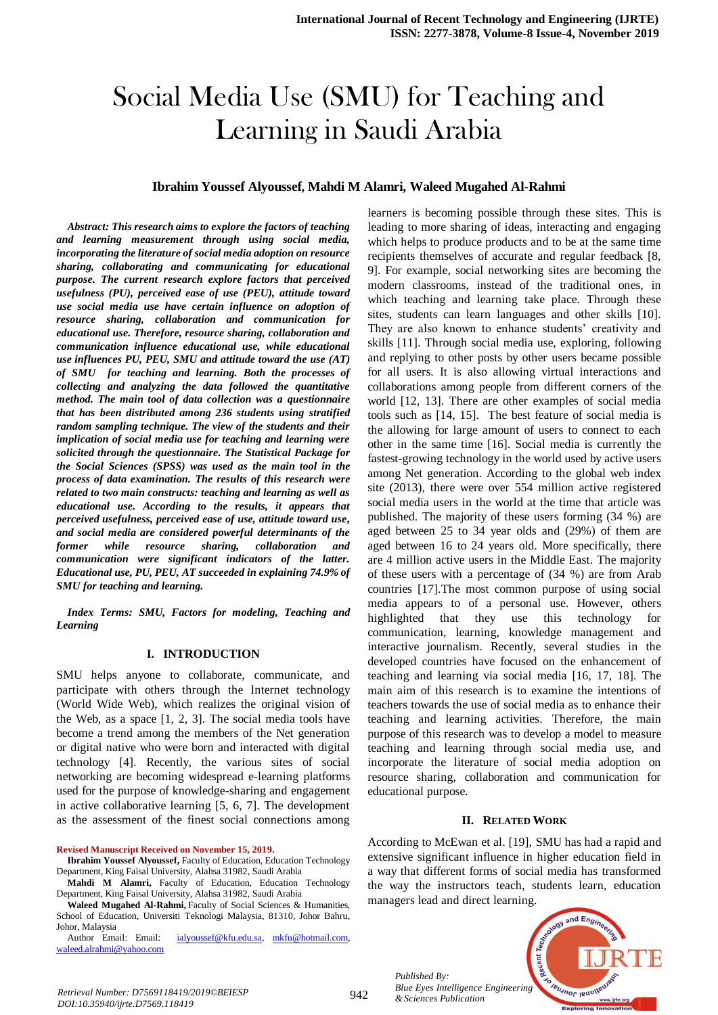# Social Media Use (SMU) for Teaching and Learning in Saudi Arabia

#### **Ibrahim Youssef Alyoussef, Mahdi M Alamri, Waleed Mugahed Al-Rahmi**

*Abstract: This research aims to explore the factors of teaching and learning measurement through using social media, incorporating the literature of social media adoption on resource sharing, collaborating and communicating for educational purpose. The current research explore factors that perceived usefulness (PU), perceived ease of use (PEU), attitude toward use social media use have certain influence on adoption of resource sharing, collaboration and communication for educational use. Therefore, resource sharing, collaboration and communication influence educational use, while educational use influences PU, PEU, SMU and attitude toward the use (AT) of SMU for teaching and learning. Both the processes of collecting and analyzing the data followed the quantitative method. The main tool of data collection was a questionnaire that has been distributed among 236 students using stratified random sampling technique. The view of the students and their implication of social media use for teaching and learning were solicited through the questionnaire. The Statistical Package for the Social Sciences (SPSS) was used as the main tool in the process of data examination. The results of this research were related to two main constructs: teaching and learning as well as educational use. According to the results, it appears that perceived usefulness, perceived ease of use, attitude toward use, and social media are considered powerful determinants of the former while resource sharing, collaboration and communication were significant indicators of the latter. Educational use, PU, PEU, AT succeeded in explaining 74.9% of SMU for teaching and learning.* 

*Index Terms: SMU, Factors for modeling, Teaching and Learning*

### **I. INTRODUCTION**

SMU helps anyone to collaborate, communicate, and participate with others through the Internet technology (World Wide Web), which realizes the original vision of the Web, as a space [1, 2, 3]. The social media tools have become a trend among the members of the Net generation or digital native who were born and interacted with digital technology [4]. Recently, the various sites of social networking are becoming widespread e-learning platforms used for the purpose of knowledge-sharing and engagement in active collaborative learning [5, 6, 7]. The development as the assessment of the finest social connections among

**Revised Manuscript Received on November 15, 2019.**

**Ibrahim Youssef Alyoussef,** Faculty of Education, Education Technology Department, King Faisal University, Alahsa 31982, Saudi Arabia

**Mahdi M Alamri,** Faculty of Education, Education Technology Department, King Faisal University, Alahsa 31982, Saudi Arabia

**Waleed Mugahed Al-Rahmi,** Faculty of Social Sciences & Humanities, School of Education, Universiti Teknologi Malaysia, 81310, Johor Bahru, Johor, Malaysia<br>Author Email: Email:

[ialyoussef@kfu.edu.sa,](mailto:ialyoussef@kfu.edu.sa) mkfu@hotmail.com, [waleed.alrahmi@yahoo.com](mailto:waleed.alrahmi@yahoo.com)

learners is becoming possible through these sites. This is leading to more sharing of ideas, interacting and engaging which helps to produce products and to be at the same time recipients themselves of accurate and regular feedback [8, 9]. For example, social networking sites are becoming the modern classrooms, instead of the traditional ones, in which teaching and learning take place. Through these sites, students can learn languages and other skills [10]. They are also known to enhance students' creativity and skills [11]. Through social media use, exploring, following and replying to other posts by other users became possible for all users. It is also allowing virtual interactions and collaborations among people from different corners of the world [12, 13]. There are other examples of social media tools such as [14, 15]. The best feature of social media is the allowing for large amount of users to connect to each other in the same time [16]. Social media is currently the fastest-growing technology in the world used by active users among Net generation. According to the global web index site (2013), there were over 554 million active registered social media users in the world at the time that article was published. The majority of these users forming (34 %) are aged between 25 to 34 year olds and (29%) of them are aged between 16 to 24 years old. More specifically, there are 4 million active users in the Middle East. The majority of these users with a percentage of (34 %) are from Arab countries [17].The most common purpose of using social media appears to of a personal use. However, others highlighted that they use this technology for communication, learning, knowledge management and interactive journalism. Recently, several studies in the developed countries have focused on the enhancement of teaching and learning via social media [16, 17, 18]. The main aim of this research is to examine the intentions of teachers towards the use of social media as to enhance their teaching and learning activities. Therefore, the main purpose of this research was to develop a model to measure teaching and learning through social media use, and incorporate the literature of social media adoption on resource sharing, collaboration and communication for educational purpose.

#### **II. RELATED WORK**

According to McEwan et al. [19], SMU has had a rapid and extensive significant influence in higher education field in a way that different forms of social media has transformed the way the instructors teach, students learn, education managers lead and direct learning.



*Bue Eyes Intelligence*<br>*Blue Eyes Intelligence*<br>*Blue Eyes Intelligence*<br>*Blue Eyes Intelligence DOI:10.35940/ijrte.D7569.118419*

*Published By:*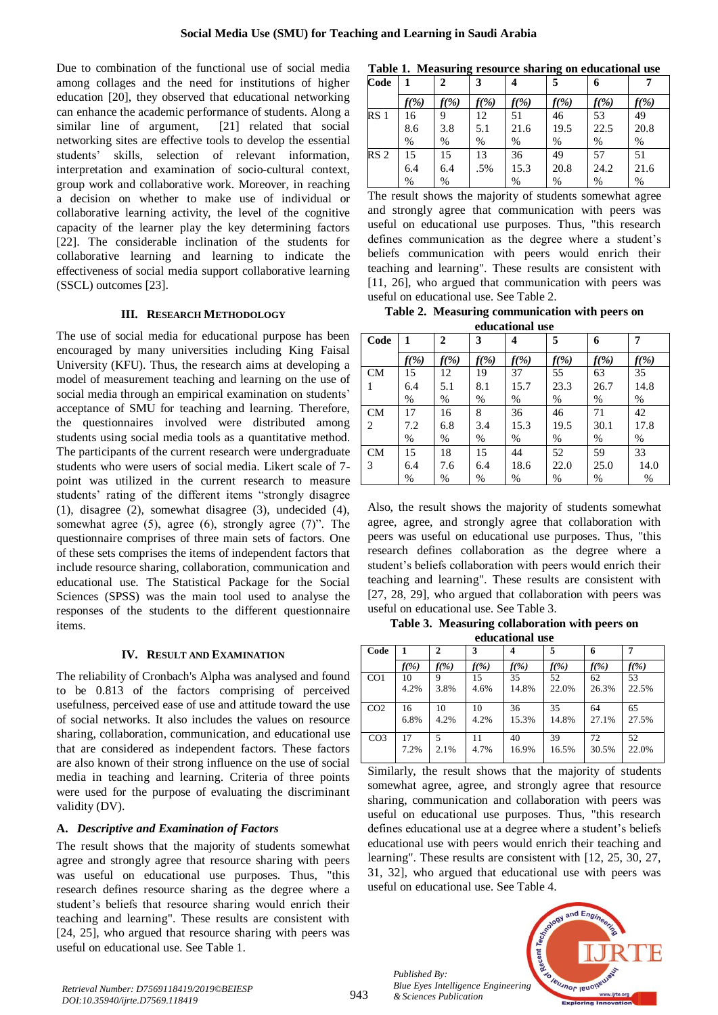Due to combination of the functional use of social media among collages and the need for institutions of higher education [20], they observed that educational networking can enhance the academic performance of students. Along a similar line of argument, [21] related that social networking sites are effective tools to develop the essential students' skills, selection of relevant information, interpretation and examination of socio-cultural context, group work and collaborative work. Moreover, in reaching a decision on whether to make use of individual or collaborative learning activity, the level of the cognitive capacity of the learner play the key determining factors [22]. The considerable inclination of the students for collaborative learning and learning to indicate the effectiveness of social media support collaborative learning (SSCL) outcomes [23].

# **III. RESEARCH METHODOLOGY**

The use of social media for educational purpose has been encouraged by many universities including King Faisal University (KFU). Thus, the research aims at developing a model of measurement teaching and learning on the use of social media through an empirical examination on students' acceptance of SMU for teaching and learning. Therefore, the questionnaires involved were distributed among students using social media tools as a quantitative method. The participants of the current research were undergraduate students who were users of social media. Likert scale of 7 point was utilized in the current research to measure students' rating of the different items "strongly disagree (1), disagree (2), somewhat disagree (3), undecided (4), somewhat agree (5), agree (6), strongly agree (7)". The questionnaire comprises of three main sets of factors. One of these sets comprises the items of independent factors that include resource sharing, collaboration, communication and educational use. The Statistical Package for the Social Sciences (SPSS) was the main tool used to analyse the responses of the students to the different questionnaire items.

# **IV. RESULT AND EXAMINATION**

The reliability of Cronbach's Alpha was analysed and found to be 0.813 of the factors comprising of perceived usefulness, perceived ease of use and attitude toward the use of social networks. It also includes the values on resource sharing, collaboration, communication, and educational use that are considered as independent factors. These factors are also known of their strong influence on the use of social media in teaching and learning. Criteria of three points were used for the purpose of evaluating the discriminant validity (DV).

# **A.** *Descriptive and Examination of Factors*

The result shows that the majority of students somewhat agree and strongly agree that resource sharing with peers was useful on educational use purposes. Thus, "this research defines resource sharing as the degree where a student's beliefs that resource sharing would enrich their teaching and learning". These results are consistent with [24, 25], who argued that resource sharing with peers was useful on educational use. See Table 1.

|  |  |  | Table 1. Measuring resource sharing on educational use |
|--|--|--|--------------------------------------------------------|
|--|--|--|--------------------------------------------------------|

| Code            | 1        | 2    | 3       |      | 5       | 6    |         |
|-----------------|----------|------|---------|------|---------|------|---------|
|                 | $f(\% )$ | f(%) | $f(\%)$ | f(%) | $f(\%)$ | f(%) | $f(\%)$ |
| RS <sub>1</sub> | 16       | 9    | 12      | 51   | 46      | 53   | 49      |
|                 | 8.6      | 3.8  | 5.1     | 21.6 | 19.5    | 22.5 | 20.8    |
|                 | %        | %    | %       | %    | %       | %    | %       |
| RS <sub>2</sub> | 15       | 15   | 13      | 36   | 49      | 57   | 51      |
|                 | 6.4      | 6.4  | .5%     | 15.3 | 20.8    | 24.2 | 21.6    |
|                 | %        | $\%$ |         | %    | %       | %    | $\%$    |

The result shows the majority of students somewhat agree and strongly agree that communication with peers was useful on educational use purposes. Thus, "this research defines communication as the degree where a student's beliefs communication with peers would enrich their teaching and learning". These results are consistent with [11, 26], who argued that communication with peers was useful on educational use. See Table 2.

**Table 2. Measuring communication with peers on educational use**

|                | equcational use |              |         |         |         |         |         |  |  |
|----------------|-----------------|--------------|---------|---------|---------|---------|---------|--|--|
| Code           | 1               | $\mathbf{2}$ | 3       | 4       | 5       | 6       | 7       |  |  |
|                | f(%)            | $f(\%)$      | $f(\%)$ | $f(\%)$ | $f(\%)$ | $f(\%)$ | $f(\%)$ |  |  |
| <b>CM</b>      | 15              | 12           | 19      | 37      | 55      | 63      | 35      |  |  |
|                | 6.4             | 5.1          | 8.1     | 15.7    | 23.3    | 26.7    | 14.8    |  |  |
|                | $\%$            | %            | $\%$    | $\%$    | $\%$    | $\%$    | $\%$    |  |  |
| CM             | 17              | 16           | 8       | 36      | 46      | 71      | 42      |  |  |
| $\overline{c}$ | 7.2             | 6.8          | 3.4     | 15.3    | 19.5    | 30.1    | 17.8    |  |  |
|                | $\%$            | $\%$         | $\%$    | $\%$    | $\%$    | $\%$    | $\%$    |  |  |
| <b>CM</b>      | 15              | 18           | 15      | 44      | 52      | 59      | 33      |  |  |
| 3              | 6.4             | 7.6          | 6.4     | 18.6    | 22.0    | 25.0    | 14.0    |  |  |
|                | $\%$            | %            | $\%$    | $\%$    | $\%$    | $\%$    | $\%$    |  |  |

Also, the result shows the majority of students somewhat agree, agree, and strongly agree that collaboration with peers was useful on educational use purposes. Thus, "this research defines collaboration as the degree where a student's beliefs collaboration with peers would enrich their teaching and learning". These results are consistent with [27, 28, 29], who argued that collaboration with peers was useful on educational use. See Table 3.

**Table 3. Measuring collaboration with peers on educational use**

| Code            |         | $\mathbf{2}$ | 3       | 4       | 5       | 6       |         |
|-----------------|---------|--------------|---------|---------|---------|---------|---------|
|                 | $f(\%)$ | $f(\%)$      | $f(\%)$ | $f(\%)$ | $f(\%)$ | $f(\%)$ | $f(\%)$ |
| CO <sub>1</sub> | 10      | 9            | 15      | 35      | 52      | 62      | 53      |
|                 | 4.2%    | 3.8%         | 4.6%    | 14.8%   | 22.0%   | 26.3%   | 22.5%   |
| CO <sub>2</sub> | 16      | 10           | 10      | 36      | 35      | 64      | 65      |
|                 | 6.8%    | 4.2%         | 4.2%    | 15.3%   | 14.8%   | 27.1%   | 27.5%   |
| CO <sub>3</sub> | 17      | 5            | 11      | 40      | 39      | 72      | 52      |
|                 | 7.2%    | 2.1%         | 4.7%    | 16.9%   | 16.5%   | 30.5%   | 22.0%   |

Similarly, the result shows that the majority of students somewhat agree, agree, and strongly agree that resource sharing, communication and collaboration with peers was useful on educational use purposes. Thus, "this research defines educational use at a degree where a student's beliefs educational use with peers would enrich their teaching and learning". These results are consistent with [12, 25, 30, 27, 31, 32], who argued that educational use with peers was useful on educational use. See Table 4.

*Published By: Blue Eyes Intelligence Engineering & Sciences Publication* 

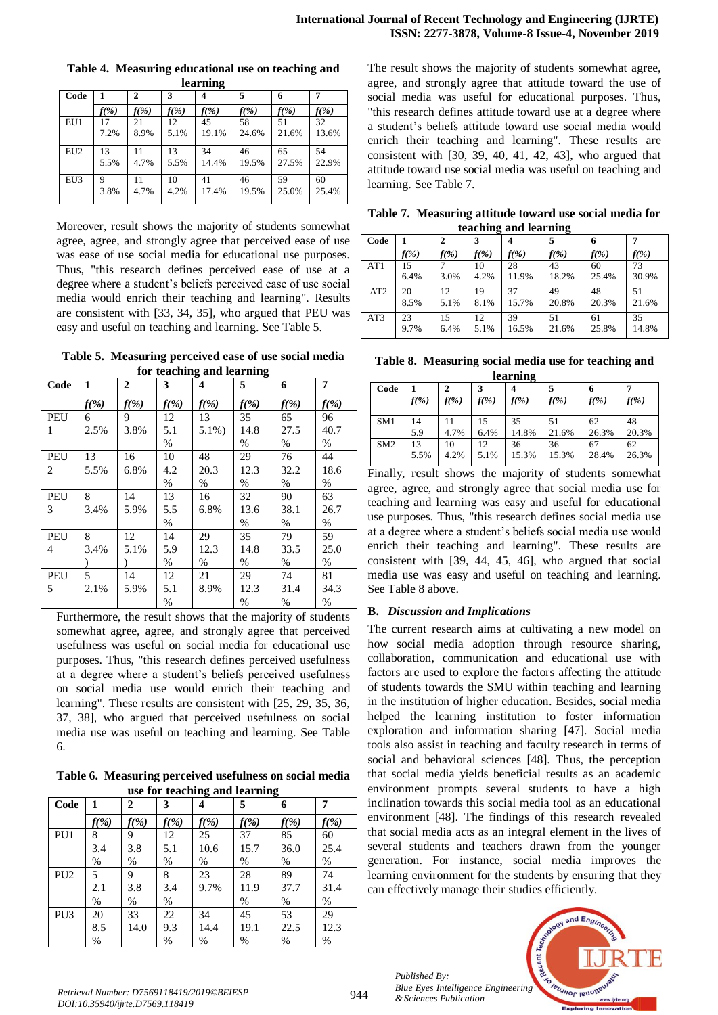|                 | learning |              |         |         |         |         |         |  |  |  |
|-----------------|----------|--------------|---------|---------|---------|---------|---------|--|--|--|
| Code            |          | $\mathbf{2}$ | 3       |         | 5       | 6       |         |  |  |  |
|                 | $f(\%)$  | $f(\%)$      | $f(\%)$ | $f(\%)$ | $f(\%)$ | $f(\%)$ | $f(\%)$ |  |  |  |
| EU1             | 17       | 21           | 12      | 45      | 58      | 51      | 32      |  |  |  |
|                 | 7.2%     | 8.9%         | 5.1%    | 19.1%   | 24.6%   | 21.6%   | 13.6%   |  |  |  |
| EU <sub>2</sub> | 13       | 11           | 13      | 34      | 46      | 65      | 54      |  |  |  |
|                 | 5.5%     | 4.7%         | 5.5%    | 14.4%   | 19.5%   | 27.5%   | 22.9%   |  |  |  |
| EU3             | 9        | 11           | 10      | 41      | 46      | 59      | 60      |  |  |  |
|                 | 3.8%     | 4.7%         | 4.2%    | 17.4%   | 19.5%   | 25.0%   | 25.4%   |  |  |  |

**Table 4. Measuring educational use on teaching and** 

Moreover, result shows the majority of students somewhat agree, agree, and strongly agree that perceived ease of use was ease of use social media for educational use purposes. Thus, "this research defines perceived ease of use at a degree where a student's beliefs perceived ease of use social media would enrich their teaching and learning". Results are consistent with [33, 34, 35], who argued that PEU was easy and useful on teaching and learning. See Table 5.

**Table 5. Measuring perceived ease of use social media for teaching and learning**

| Code | 1       | 2       | 3       | 4         | 5       | 6       | 7       |
|------|---------|---------|---------|-----------|---------|---------|---------|
|      | $f(\%)$ | $f(\%)$ | $f(\%)$ | $f(\%)$   | $f(\%)$ | $f(\%)$ | $f(\%)$ |
| PEU  | 6       | 9       | 12      | 13        | 35      | 65      | 96      |
| 1    | 2.5%    | 3.8%    | 5.1     | $5.1\%$ ) | 14.8    | 27.5    | 40.7    |
|      |         |         | $\%$    |           | $\%$    | $\%$    | $\%$    |
| PEU  | 13      | 16      | 10      | 48        | 29      | 76      | 44      |
| 2    | 5.5%    | 6.8%    | 4.2     | 20.3      | 12.3    | 32.2    | 18.6    |
|      |         |         | $\%$    | $\%$      | $\%$    | $\%$    | $\%$    |
| PEU  | 8       | 14      | 13      | 16        | 32      | 90      | 63      |
| 3    | 3.4%    | 5.9%    | 5.5     | 6.8%      | 13.6    | 38.1    | 26.7    |
|      |         |         | $\%$    |           | $\%$    | $\%$    | $\%$    |
| PEU  | 8       | 12      | 14      | 29        | 35      | 79      | 59      |
| 4    | 3.4%    | 5.1%    | 5.9     | 12.3      | 14.8    | 33.5    | 25.0    |
|      |         |         | $\%$    | $\%$      | $\%$    | $\%$    | $\%$    |
| PEU  | 5       | 14      | 12      | 21        | 29      | 74      | 81      |
| 5    | 2.1%    | 5.9%    | 5.1     | 8.9%      | 12.3    | 31.4    | 34.3    |
|      |         |         | %       |           | $\%$    | $\%$    | $\%$    |

Furthermore, the result shows that the majority of students somewhat agree, agree, and strongly agree that perceived usefulness was useful on social media for educational use purposes. Thus, "this research defines perceived usefulness at a degree where a student's beliefs perceived usefulness on social media use would enrich their teaching and learning". These results are consistent with [25, 29, 35, 36, 37, 38], who argued that perceived usefulness on social media use was useful on teaching and learning. See Table 6.

**Table 6. Measuring perceived usefulness on social media use for teaching and learning**

| Code            | 1       | 2       | 3       | $\circ$<br>4 | 5       | 0<br>6  | 7       |
|-----------------|---------|---------|---------|--------------|---------|---------|---------|
|                 | $f(\%)$ | $f(\%)$ | $f(\%)$ | $f(\%)$      | $f(\%)$ | $f(\%)$ | $f(\%)$ |
| PU <sub>1</sub> | 8       | 9       | 12      | 25           | 37      | 85      | 60      |
|                 | 3.4     | 3.8     | 5.1     | 10.6         | 15.7    | 36.0    | 25.4    |
|                 | %       | $\%$    | $\%$    | $\%$         | $\%$    | $\%$    | $\%$    |
| PU <sub>2</sub> | 5       | 9       | 8       | 23           | 28      | 89      | 74      |
|                 | 2.1     | 3.8     | 3.4     | 9.7%         | 11.9    | 37.7    | 31.4    |
|                 | %       | $\%$    | $\%$    |              | $\%$    | $\%$    | $\%$    |
| PU <sub>3</sub> | 20      | 33      | 22      | 34           | 45      | 53      | 29      |
|                 | 8.5     | 14.0    | 9.3     | 14.4         | 19.1    | 22.5    | 12.3    |
|                 | $\%$    |         | %       | %            | $\%$    | %       | $\%$    |

The result shows the majority of students somewhat agree, agree, and strongly agree that attitude toward the use of social media was useful for educational purposes. Thus, "this research defines attitude toward use at a degree where a student's beliefs attitude toward use social media would enrich their teaching and learning". These results are consistent with [30, 39, 40, 41, 42, 43], who argued that attitude toward use social media was useful on teaching and learning. See Table 7.

**Table 7. Measuring attitude toward use social media for teaching and learning**

|      |         |              |         |                  | ີ        |         |         |
|------|---------|--------------|---------|------------------|----------|---------|---------|
| Code |         | $\mathbf{2}$ | 3       | $\boldsymbol{4}$ | 5        | 6       |         |
|      | $f(\%)$ | $f(\%)$      | $f(\%)$ | $f(\%)$          | $f(\% )$ | $f(\%)$ | $f(\%)$ |
| AT1  | 15      |              | 10      | 28               | 43       | 60      | 73      |
|      | 6.4%    | 3.0%         | 4.2%    | 11.9%            | 18.2%    | 25.4%   | 30.9%   |
| AT2  | 20      | 12           | 19      | 37               | 49       | 48      | 51      |
|      | 8.5%    | 5.1%         | 8.1%    | 15.7%            | 20.8%    | 20.3%   | 21.6%   |
| AT3  | 23      | 15           | 12      | 39               | 51       | 61      | 35      |
|      | 9.7%    | 6.4%         | 5.1%    | 16.5%            | 21.6%    | 25.8%   | 14.8%   |

**Table 8. Measuring social media use for teaching and learning**

|         |         |         |         |         | o       |         |
|---------|---------|---------|---------|---------|---------|---------|
| $f(\%)$ | $f(\%)$ | $f(\%)$ | $f(\%)$ | $f(\%)$ | $f(\%)$ | $f(\%)$ |
|         |         |         |         |         |         |         |
| 14      |         | 15      | 35      | 51      | 62      | 48      |
| 5.9     | 4.7%    | 6.4%    | 14.8%   | 21.6%   | 26.3%   | 20.3%   |
| 13      | 10      | 12      | 36      | 36      | 67      | 62      |
| 5.5%    | 4.2%    | 5.1%    | 15.3%   | 15.3%   | 28.4%   | 26.3%   |
|         |         |         |         |         |         |         |

Finally, result shows the majority of students somewhat agree, agree, and strongly agree that social media use for teaching and learning was easy and useful for educational use purposes. Thus, "this research defines social media use at a degree where a student's beliefs social media use would enrich their teaching and learning". These results are consistent with [39, 44, 45, 46], who argued that social media use was easy and useful on teaching and learning. See Table 8 above.

# **B.** *Discussion and Implications*

The current research aims at cultivating a new model on how social media adoption through resource sharing, collaboration, communication and educational use with factors are used to explore the factors affecting the attitude of students towards the SMU within teaching and learning in the institution of higher education. Besides, social media helped the learning institution to foster information exploration and information sharing [47]. Social media tools also assist in teaching and faculty research in terms of social and behavioral sciences [48]. Thus, the perception that social media yields beneficial results as an academic environment prompts several students to have a high inclination towards this social media tool as an educational environment [48]. The findings of this research revealed that social media acts as an integral element in the lives of several students and teachers drawn from the younger generation. For instance, social media improves the learning environment for the students by ensuring that they can effectively manage their studies efficiently.

*Published By: Blue Eyes Intelligence Engineering* 

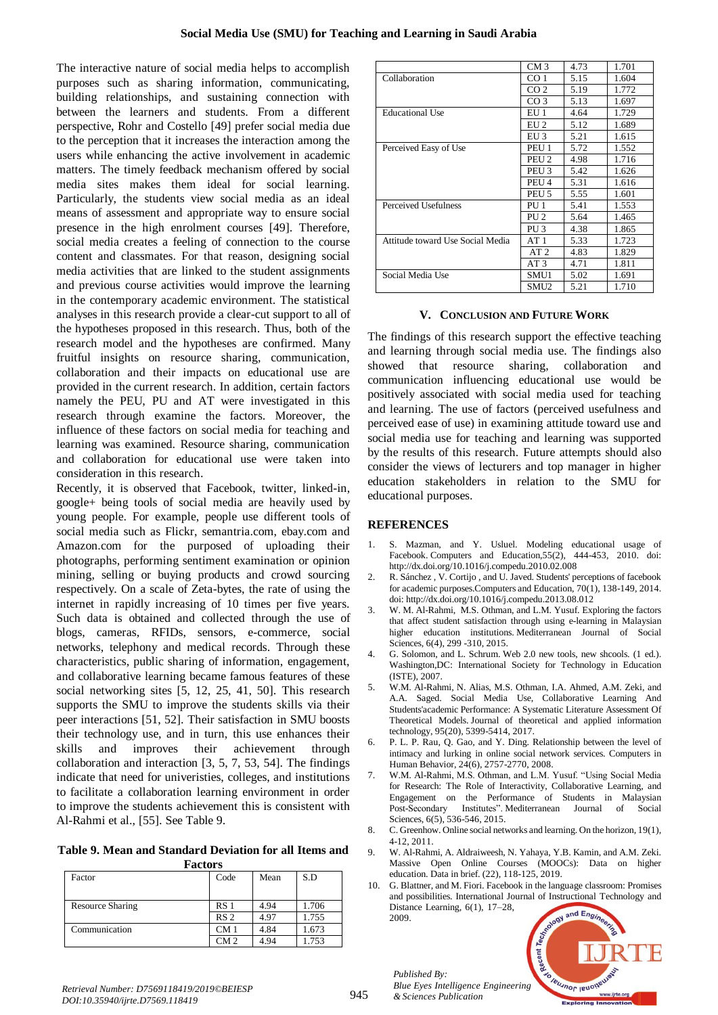The interactive nature of social media helps to accomplish purposes such as sharing information, communicating, building relationships, and sustaining connection with between the learners and students. From a different perspective, Rohr and Costello [49] prefer social media due to the perception that it increases the interaction among the users while enhancing the active involvement in academic matters. The timely feedback mechanism offered by social media sites makes them ideal for social learning. Particularly, the students view social media as an ideal means of assessment and appropriate way to ensure social presence in the high enrolment courses [49]. Therefore, social media creates a feeling of connection to the course content and classmates. For that reason, designing social media activities that are linked to the student assignments and previous course activities would improve the learning in the contemporary academic environment. The statistical analyses in this research provide a clear-cut support to all of the hypotheses proposed in this research. Thus, both of the research model and the hypotheses are confirmed. Many fruitful insights on resource sharing, communication, collaboration and their impacts on educational use are provided in the current research. In addition, certain factors namely the PEU, PU and AT were investigated in this research through examine the factors. Moreover, the influence of these factors on social media for teaching and learning was examined. Resource sharing, communication and collaboration for educational use were taken into consideration in this research.

Recently, it is observed that Facebook, twitter, linked-in, google+ being tools of social media are heavily used by young people. For example, people use different tools of social media such as Flickr, semantria.com, ebay.com and Amazon.com for the purposed of uploading their photographs, performing sentiment examination or opinion mining, selling or buying products and crowd sourcing respectively. On a scale of Zeta-bytes, the rate of using the internet in rapidly increasing of 10 times per five years. Such data is obtained and collected through the use of blogs, cameras, RFIDs, sensors, e-commerce, social networks, telephony and medical records. Through these characteristics, public sharing of information, engagement, and collaborative learning became famous features of these social networking sites [5, 12, 25, 41, 50]. This research supports the SMU to improve the students skills via their peer interactions [51, 52]. Their satisfaction in SMU boosts their technology use, and in turn, this use enhances their skills and improves their achievement through collaboration and interaction [3, 5, 7, 53, 54]. The findings indicate that need for univeristies, colleges, and institutions to facilitate a collaboration learning environment in order to improve the students achievement this is consistent with Al-Rahmi et al., [55]. See Table 9.

**Table 9. Mean and Standard Deviation for all Items and Factors**

| racións                 |                 |      |       |  |  |  |  |
|-------------------------|-----------------|------|-------|--|--|--|--|
| Factor                  | Code            | Mean | S.D   |  |  |  |  |
| <b>Resource Sharing</b> | RS <sub>1</sub> | 4.94 | 1.706 |  |  |  |  |
|                         | RS <sub>2</sub> | 4.97 | 1.755 |  |  |  |  |
| Communication           | CM <sub>1</sub> | 4.84 | 1.673 |  |  |  |  |
|                         | CM <sub>2</sub> | 4.94 | 1.753 |  |  |  |  |

|                                  | CM <sub>3</sub>  | 4.73 | 1.701 |
|----------------------------------|------------------|------|-------|
| Collaboration                    | CO 1             | 5.15 | 1.604 |
|                                  | CO <sub>2</sub>  | 5.19 | 1.772 |
|                                  | CO <sub>3</sub>  | 5.13 | 1.697 |
| <b>Educational Use</b>           | EU 1             | 4.64 | 1.729 |
|                                  | EUI2             | 5.12 | 1.689 |
|                                  | $EU$ 3           | 5.21 | 1.615 |
| Perceived Easy of Use            | PEU 1            | 5.72 | 1.552 |
|                                  | PEU <sub>2</sub> | 4.98 | 1.716 |
|                                  | PEU <sub>3</sub> | 5.42 | 1.626 |
|                                  | PEU <sub>4</sub> | 5.31 | 1.616 |
|                                  | PEU <sub>5</sub> | 5.55 | 1.601 |
| Perceived Usefulness             | PU 1             | 5.41 | 1.553 |
|                                  | PU 2             | 5.64 | 1.465 |
|                                  | PU <sub>3</sub>  | 4.38 | 1.865 |
| Attitude toward Use Social Media | AT1              | 5.33 | 1.723 |
|                                  | AT <sub>2</sub>  | 4.83 | 1.829 |
|                                  | AT3              | 4.71 | 1.811 |
| Social Media Use                 | SMU1             | 5.02 | 1.691 |
|                                  | SMU <sub>2</sub> | 5.21 | 1.710 |

# **V. CONCLUSION AND FUTURE WORK**

The findings of this research support the effective teaching and learning through social media use. The findings also showed that resource sharing, collaboration and communication influencing educational use would be positively associated with social media used for teaching and learning. The use of factors (perceived usefulness and perceived ease of use) in examining attitude toward use and social media use for teaching and learning was supported by the results of this research. Future attempts should also consider the views of lecturers and top manager in higher education stakeholders in relation to the SMU for educational purposes.

# **REFERENCES**

- 1. S. Mazman, and Y. Usluel. Modeling educational usage of Facebook. Computers and Education, 55(2), 444-453, 2010. doi: <http://dx.doi.org/10.1016/j.compedu.2010.02.008>
- 2. R. Sánchez , V. Cortijo , and U. Javed. Students' perceptions of facebook for academic purposes.Computers and Education, 70(1), 138-149, 2014. doi:<http://dx.doi.org/10.1016/j.compedu.2013.08.012>
- 3. W. M. Al-Rahmi, M.S. Othman, and L.M. Yusuf. Exploring the factors that affect student satisfaction through using e-learning in Malaysian higher education institutions. Mediterranean Journal of Social Sciences, 6(4), 299 -310, 2015.
- 4. G. Solomon, and L. Schrum. Web 2.0 new tools, new shcools. (1 ed.). Washington,DC: International Society for Technology in Education (ISTE), 2007.
- 5. W.M. Al-Rahmi, N. Alias, M.S. Othman, I.A. Ahmed, A.M. Zeki, and A.A. Saged. Social Media Use, Collaborative Learning And Students'academic Performance: A Systematic Literature Assessment Of Theoretical Models. Journal of theoretical and applied information technology, 95(20), 5399-5414, 2017.
- 6. P. L. P. Rau, Q. Gao, and Y. Ding. Relationship between the level of intimacy and lurking in online social network services. Computers in Human Behavior, 24(6), 2757-2770, 2008.
- 7. W.M. Al-Rahmi, M.S. Othman, and L.M. Yusuf. "Using Social Media for Research: The Role of Interactivity, Collaborative Learning, and Engagement on the Performance of Students in Malaysian Post-Secondary Institutes". Mediterranean Journal of Social Sciences, 6(5), 536-546, 2015.
- 8. C. Greenhow. Online social networks and learning. On the horizon, 19(1), 4-12, 2011.
- 9. W. Al-Rahmi, A. Aldraiweesh, N. Yahaya, Y.B. Kamin, and A.M. Zeki. Massive Open Online Courses (MOOCs): Data on higher education. Data in brief. (22), 118-125, 2019.
- 10. G. Blattner, and M. Fiori. Facebook in the language classroom: Promises and possibilities. International Journal of Instructional Technology and Distance Learning, 6(1), 17–28. 2009.



*Published By:*

*& Sciences Publication*